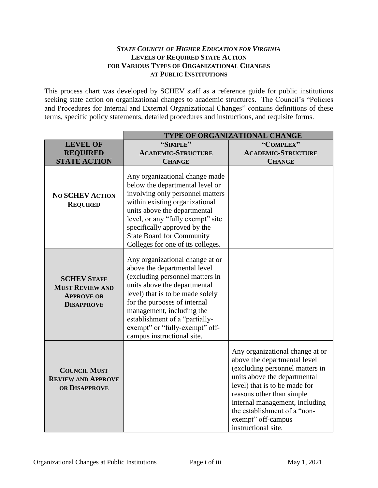#### *STATE COUNCIL OF HIGHER EDUCATION FOR VIRGINIA* **LEVELS OF REQUIRED STATE ACTION FOR VARIOUS TYPES OF ORGANIZATIONAL CHANGES AT PUBLIC INSTITUTIONS**

This process chart was developed by SCHEV staff as a reference guide for public institutions seeking state action on organizational changes to academic structures. The Council's "Policies and Procedures for Internal and External Organizational Changes" contains definitions of these terms, specific policy statements, detailed procedures and instructions, and requisite forms.

|                                                                                        | TYPE OF ORGANIZATIONAL CHANGE                                                                                                                                                                                                                                                                                                         |                                                                                                                                                                                                                                                                                                                 |  |
|----------------------------------------------------------------------------------------|---------------------------------------------------------------------------------------------------------------------------------------------------------------------------------------------------------------------------------------------------------------------------------------------------------------------------------------|-----------------------------------------------------------------------------------------------------------------------------------------------------------------------------------------------------------------------------------------------------------------------------------------------------------------|--|
| <b>LEVEL OF</b>                                                                        | "SIMPLE"                                                                                                                                                                                                                                                                                                                              | "COMPLEX"                                                                                                                                                                                                                                                                                                       |  |
| <b>REQUIRED</b>                                                                        | <b>ACADEMIC-STRUCTURE</b>                                                                                                                                                                                                                                                                                                             | <b>ACADEMIC-STRUCTURE</b>                                                                                                                                                                                                                                                                                       |  |
| <b>STATE ACTION</b>                                                                    | <b>CHANGE</b>                                                                                                                                                                                                                                                                                                                         | <b>CHANGE</b>                                                                                                                                                                                                                                                                                                   |  |
| <b>NO SCHEV ACTION</b><br><b>REQUIRED</b>                                              | Any organizational change made<br>below the departmental level or<br>involving only personnel matters<br>within existing organizational<br>units above the departmental<br>level, or any "fully exempt" site<br>specifically approved by the<br><b>State Board for Community</b><br>Colleges for one of its colleges.                 |                                                                                                                                                                                                                                                                                                                 |  |
| <b>SCHEV STAFF</b><br><b>MUST REVIEW AND</b><br><b>APPROVE OR</b><br><b>DISAPPROVE</b> | Any organizational change at or<br>above the departmental level<br>(excluding personnel matters in<br>units above the departmental<br>level) that is to be made solely<br>for the purposes of internal<br>management, including the<br>establishment of a "partially-<br>exempt" or "fully-exempt" off-<br>campus instructional site. |                                                                                                                                                                                                                                                                                                                 |  |
| <b>COUNCIL MUST</b><br><b>REVIEW AND APPROVE</b><br>OR DISAPPROVE                      |                                                                                                                                                                                                                                                                                                                                       | Any organizational change at or<br>above the departmental level<br>(excluding personnel matters in<br>units above the departmental<br>level) that is to be made for<br>reasons other than simple<br>internal management, including<br>the establishment of a "non-<br>exempt" off-campus<br>instructional site. |  |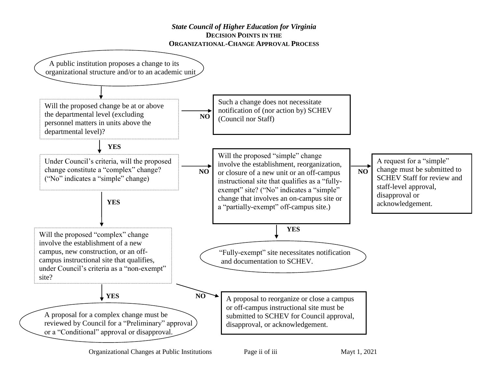#### *State Council of Higher Education for Virginia* **DECISION POINTS IN THE ORGANIZATIONAL-CHANGE APPROVAL PROCESS**

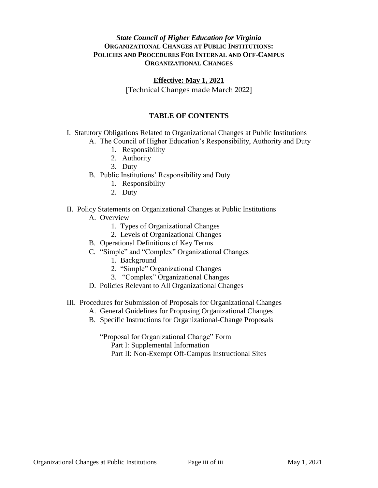#### *State Council of Higher Education for Virginia* **ORGANIZATIONAL CHANGES AT PUBLIC INSTITUTIONS: POLICIES AND PROCEDURES FOR INTERNAL AND OFF-CAMPUS ORGANIZATIONAL CHANGES**

#### **Effective: May 1, 2021**

[Technical Changes made March 2022]

#### **TABLE OF CONTENTS**

- I. Statutory Obligations Related to Organizational Changes at Public Institutions
	- A. The Council of Higher Education's Responsibility, Authority and Duty
		- 1. Responsibility
		- 2. Authority
		- 3. Duty
	- B. Public Institutions' Responsibility and Duty
		- 1. Responsibility
		- 2. Duty

#### II. Policy Statements on Organizational Changes at Public Institutions

- A. Overview
	- 1. Types of Organizational Changes
	- 2. Levels of Organizational Changes
- B. Operational Definitions of Key Terms
- C. "Simple" and "Complex" Organizational Changes
	- 1. Background
	- 2. "Simple" Organizational Changes
	- 3. "Complex" Organizational Changes
- D. Policies Relevant to All Organizational Changes

#### III. Procedures for Submission of Proposals for Organizational Changes

- A. General Guidelines for Proposing Organizational Changes
- B. Specific Instructions for Organizational-Change Proposals

"Proposal for Organizational Change" Form Part I: Supplemental Information Part II: Non-Exempt Off-Campus Instructional Sites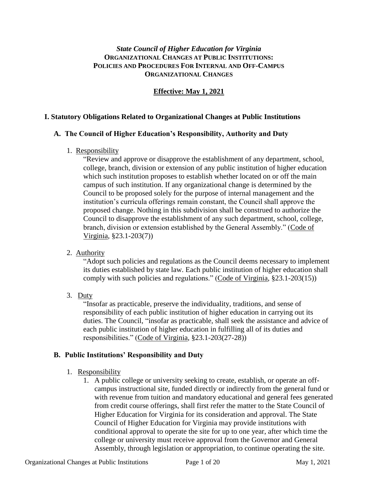## *State Council of Higher Education for Virginia* **ORGANIZATIONAL CHANGES AT PUBLIC INSTITUTIONS: POLICIES AND PROCEDURES FOR INTERNAL AND OFF-CAMPUS ORGANIZATIONAL CHANGES**

# **Effective: May 1, 2021**

#### **I. Statutory Obligations Related to Organizational Changes at Public Institutions**

#### **A. The Council of Higher Education's Responsibility, Authority and Duty**

1. Responsibility

"Review and approve or disapprove the establishment of any department, school, college, branch, division or extension of any public institution of higher education which such institution proposes to establish whether located on or off the main campus of such institution. If any organizational change is determined by the Council to be proposed solely for the purpose of internal management and the institution's curricula offerings remain constant, the Council shall approve the proposed change. Nothing in this subdivision shall be construed to authorize the Council to disapprove the establishment of any such department, school, college, branch, division or extension established by the General Assembly." (Code of Virginia, §23.1-203(7))

## 2. Authority

"Adopt such policies and regulations as the Council deems necessary to implement its duties established by state law. Each public institution of higher education shall comply with such policies and regulations." (Code of Virginia, §23.1-203(15))

3. Duty

"Insofar as practicable, preserve the individuality, traditions, and sense of responsibility of each public institution of higher education in carrying out its duties. The Council, "insofar as practicable, shall seek the assistance and advice of each public institution of higher education in fulfilling all of its duties and responsibilities." (Code of Virginia, §23.1-203(27-28))

#### **B. Public Institutions' Responsibility and Duty**

- 1. Responsibility
	- 1. A public college or university seeking to create, establish, or operate an offcampus instructional site, funded directly or indirectly from the general fund or with revenue from tuition and mandatory educational and general fees generated from credit course offerings, shall first refer the matter to the State Council of Higher Education for Virginia for its consideration and approval. The State Council of Higher Education for Virginia may provide institutions with conditional approval to operate the site for up to one year, after which time the college or university must receive approval from the Governor and General Assembly, through legislation or appropriation, to continue operating the site.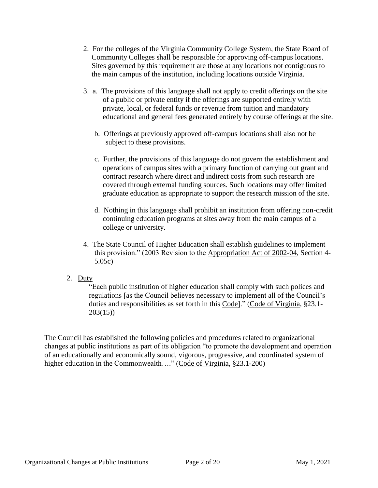- 2. For the colleges of the Virginia Community College System, the State Board of Community Colleges shall be responsible for approving off-campus locations. Sites governed by this requirement are those at any locations not contiguous to the main campus of the institution, including locations outside Virginia.
- 3. a. The provisions of this language shall not apply to credit offerings on the site of a public or private entity if the offerings are supported entirely with private, local, or federal funds or revenue from tuition and mandatory educational and general fees generated entirely by course offerings at the site.
	- b. Offerings at previously approved off-campus locations shall also not be subject to these provisions.
	- c. Further, the provisions of this language do not govern the establishment and operations of campus sites with a primary function of carrying out grant and contract research where direct and indirect costs from such research are covered through external funding sources. Such locations may offer limited graduate education as appropriate to support the research mission of the site.
	- d. Nothing in this language shall prohibit an institution from offering non-credit continuing education programs at sites away from the main campus of a college or university.
- 4. The State Council of Higher Education shall establish guidelines to implement this provision." (2003 Revision to the Appropriation Act of 2002-04, Section 4- 5.05c)
- 2. Duty

"Each public institution of higher education shall comply with such polices and regulations [as the Council believes necessary to implement all of the Council's duties and responsibilities as set forth in this Code]." (Code of Virginia, §23.1- 203(15))

The Council has established the following policies and procedures related to organizational changes at public institutions as part of its obligation "to promote the development and operation of an educationally and economically sound, vigorous, progressive, and coordinated system of higher education in the Commonwealth…." (Code of Virginia, §23.1-200)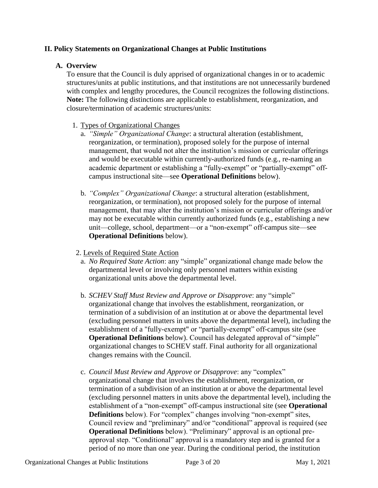#### **II. Policy Statements on Organizational Changes at Public Institutions**

#### **A. Overview**

To ensure that the Council is duly apprised of organizational changes in or to academic structures/units at public institutions, and that institutions are not unnecessarily burdened with complex and lengthy procedures, the Council recognizes the following distinctions. **Note:** The following distinctions are applicable to establishment, reorganization, and closure/termination of academic structures/units:

#### 1. Types of Organizational Changes

- a. *"Simple" Organizational Change*: a structural alteration (establishment, reorganization, or termination), proposed solely for the purpose of internal management, that would not alter the institution's mission or curricular offerings and would be executable within currently-authorized funds (e.g., re-naming an academic department or establishing a "fully-exempt" or "partially-exempt" offcampus instructional site—see **Operational Definitions** below).
- b. *"Complex" Organizational Change*: a structural alteration (establishment, reorganization, or termination), not proposed solely for the purpose of internal management, that may alter the institution's mission or curricular offerings and/or may not be executable within currently authorized funds (e.g., establishing a new unit—college, school, department—or a "non-exempt" off-campus site—see **Operational Definitions** below).
- 2. Levels of Required State Action
	- a. *No Required State Action*: any "simple" organizational change made below the departmental level or involving only personnel matters within existing organizational units above the departmental level.
	- b. *SCHEV Staff Must Review and Approve or Disapprove*: any "simple" organizational change that involves the establishment, reorganization, or termination of a subdivision of an institution at or above the departmental level (excluding personnel matters in units above the departmental level), including the establishment of a "fully-exempt" or "partially-exempt" off-campus site (see **Operational Definitions** below). Council has delegated approval of "simple" organizational changes to SCHEV staff. Final authority for all organizational changes remains with the Council.
	- c. *Council Must Review and Approve or Disapprove*: any "complex" organizational change that involves the establishment, reorganization, or termination of a subdivision of an institution at or above the departmental level (excluding personnel matters in units above the departmental level), including the establishment of a "non-exempt" off-campus instructional site (see **Operational Definitions** below). For "complex" changes involving "non-exempt" sites, Council review and "preliminary" and/or "conditional" approval is required (see **Operational Definitions** below). "Preliminary" approval is an optional preapproval step. "Conditional" approval is a mandatory step and is granted for a period of no more than one year. During the conditional period, the institution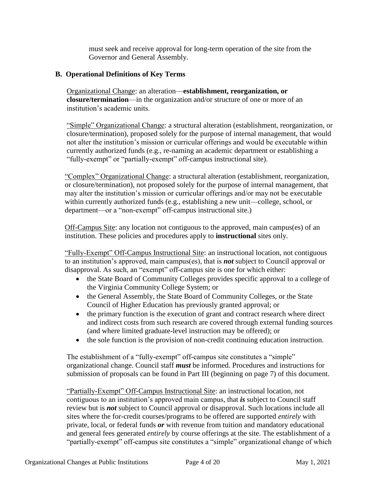must seek and receive approval for long-term operation of the site from the Governor and General Assembly.

### **B. Operational Definitions of Key Terms**

Organizational Change: an alteration—**establishment, reorganization, or closure/termination**—in the organization and/or structure of one or more of an institution's academic units.

"Simple" Organizational Change: a structural alteration (establishment, reorganization, or closure/termination), proposed solely for the purpose of internal management, that would not alter the institution's mission or curricular offerings and would be executable within currently authorized funds (e.g., re-naming an academic department or establishing a "fully-exempt" or "partially-exempt" off-campus instructional site).

"Complex" Organizational Change: a structural alteration (establishment, reorganization, or closure/termination), not proposed solely for the purpose of internal management, that may alter the institution's mission or curricular offerings and/or may not be executable within currently authorized funds (e.g., establishing a new unit—college, school, or department—or a "non-exempt" off-campus instructional site.)

Off-Campus Site: any location not contiguous to the approved, main campus(es) of an institution. These policies and procedures apply to **instructional** sites only.

"Fully-Exempt" Off-Campus Instructional Site: an instructional location, not contiguous to an institution's approved, main campus(es), that is *not* subject to Council approval or disapproval. As such, an "exempt" off-campus site is one for which either:

- the State Board of Community Colleges provides specific approval to a college of the Virginia Community College System; or
- the General Assembly, the State Board of Community Colleges, or the State Council of Higher Education has previously granted approval; or
- the primary function is the execution of grant and contract research where direct and indirect costs from such research are covered through external funding sources (and where limited graduate-level instruction may be offered); or
- the sole function is the provision of non-credit continuing education instruction.

The establishment of a "fully-exempt" off-campus site constitutes a "simple" organizational change. Council staff *must* be informed. Procedures and instructions for submission of proposals can be found in Part III (beginning on page 7) of this document.

"Partially-Exempt" Off-Campus Instructional Site: an instructional location, not contiguous to an institution's approved main campus, that *is* subject to Council staff review but is *not* subject to Council approval or disapproval. Such locations include all sites where the for-credit courses/programs to be offered are supported *entirely* with private, local, or federal funds *or* with revenue from tuition and mandatory educational and general fees generated *entirely* by course offerings at the site. The establishment of a "partially-exempt" off-campus site constitutes a "simple" organizational change of which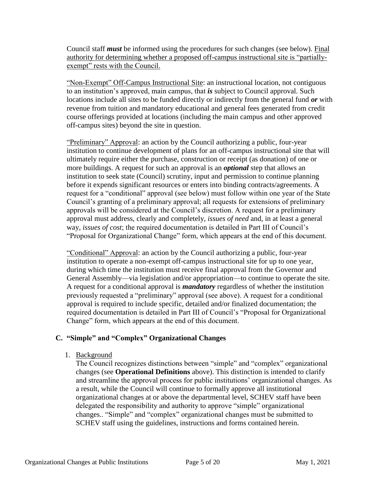Council staff *must* be informed using the procedures for such changes (see below). Final authority for determining whether a proposed off-campus instructional site is "partiallyexempt" rests with the Council.

"Non-Exempt" Off-Campus Instructional Site: an instructional location, not contiguous to an institution's approved, main campus, that *is* subject to Council approval. Such locations include all sites to be funded directly or indirectly from the general fund *or* with revenue from tuition and mandatory educational and general fees generated from credit course offerings provided at locations (including the main campus and other approved off-campus sites) beyond the site in question.

"Preliminary" Approval: an action by the Council authorizing a public, four-year institution to continue development of plans for an off-campus instructional site that will ultimately require either the purchase, construction or receipt (as donation) of one or more buildings. A request for such an approval is an *optional* step that allows an institution to seek state (Council) scrutiny, input and permission to continue planning before it expends significant resources or enters into binding contracts/agreements. A request for a "conditional" approval (see below) must follow within one year of the State Council's granting of a preliminary approval; all requests for extensions of preliminary approvals will be considered at the Council's discretion. A request for a preliminary approval must address, clearly and completely, *issues of need* and, in at least a general way, *issues of cost*; the required documentation is detailed in Part III of Council's "Proposal for Organizational Change" form, which appears at the end of this document.

"Conditional" Approval: an action by the Council authorizing a public, four-year institution to operate a non-exempt off-campus instructional site for up to one year, during which time the institution must receive final approval from the Governor and General Assembly—via legislation and/or appropriation—to continue to operate the site. A request for a conditional approval is *mandatory* regardless of whether the institution previously requested a "preliminary" approval (see above). A request for a conditional approval is required to include specific, detailed and/or finalized documentation; the required documentation is detailed in Part III of Council's "Proposal for Organizational Change" form, which appears at the end of this document.

## **C. "Simple" and "Complex" Organizational Changes**

1. Background

The Council recognizes distinctions between "simple" and "complex" organizational changes (see **Operational Definitions** above). This distinction is intended to clarify and streamline the approval process for public institutions' organizational changes. As a result, while the Council will continue to formally approve all institutional organizational changes at or above the departmental level, SCHEV staff have been delegated the responsibility and authority to approve "simple" organizational changes.. "Simple" and "complex" organizational changes must be submitted to SCHEV staff using the guidelines, instructions and forms contained herein.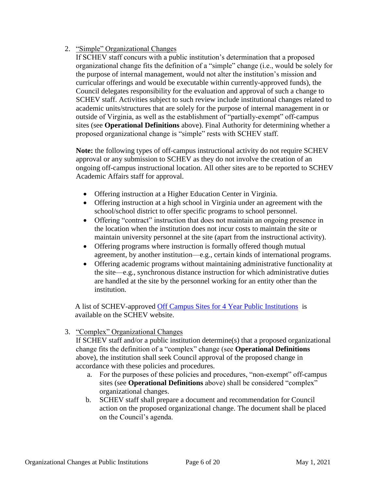### 2. "Simple" Organizational Changes

If SCHEV staff concurs with a public institution's determination that a proposed organizational change fits the definition of a "simple" change (i.e., would be solely for the purpose of internal management, would not alter the institution's mission and curricular offerings and would be executable within currently-approved funds), the Council delegates responsibility for the evaluation and approval of such a change to SCHEV staff. Activities subject to such review include institutional changes related to academic units/structures that are solely for the purpose of internal management in or outside of Virginia, as well as the establishment of "partially-exempt" off-campus sites (see **Operational Definitions** above). Final Authority for determining whether a proposed organizational change is "simple" rests with SCHEV staff.

**Note:** the following types of off-campus instructional activity do not require SCHEV approval or any submission to SCHEV as they do not involve the creation of an ongoing off-campus instructional location. All other sites are to be reported to SCHEV Academic Affairs staff for approval.

- Offering instruction at a Higher Education Center in Virginia.
- Offering instruction at a high school in Virginia under an agreement with the school/school district to offer specific programs to school personnel.
- Offering "contract" instruction that does not maintain an ongoing presence in the location when the institution does not incur costs to maintain the site or maintain university personnel at the site (apart from the instructional activity).
- Offering programs where instruction is formally offered though mutual agreement, by another institution—e.g., certain kinds of international programs.
- Offering academic programs without maintaining administrative functionality at the site—e.g., synchronous distance instruction for which administrative duties are handled at the site by the personnel working for an entity other than the institution.

A list of SCHEV-approved [Off Campus Sites for 4 Year Public Institutions](https://schev.edu/index/students-and-parents/explore/virginia-institutions) is available on the SCHEV website.

3. "Complex" Organizational Changes

If SCHEV staff and/or a public institution determine(s) that a proposed organizational change fits the definition of a "complex" change (see **Operational Definitions** above), the institution shall seek Council approval of the proposed change in accordance with these policies and procedures.

- a. For the purposes of these policies and procedures, "non-exempt" off-campus sites (see **Operational Definitions** above) shall be considered "complex" organizational changes.
- b. SCHEV staff shall prepare a document and recommendation for Council action on the proposed organizational change. The document shall be placed on the Council's agenda.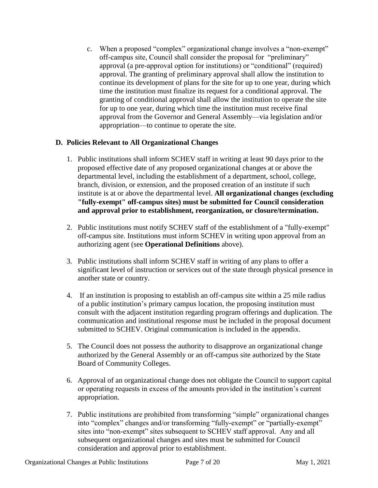c. When a proposed "complex" organizational change involves a "non-exempt" off-campus site, Council shall consider the proposal for "preliminary" approval (a pre-approval option for institutions) or "conditional" (required) approval. The granting of preliminary approval shall allow the institution to continue its development of plans for the site for up to one year, during which time the institution must finalize its request for a conditional approval. The granting of conditional approval shall allow the institution to operate the site for up to one year, during which time the institution must receive final approval from the Governor and General Assembly—via legislation and/or appropriation—to continue to operate the site.

# **D. Policies Relevant to All Organizational Changes**

- 1. Public institutions shall inform SCHEV staff in writing at least 90 days prior to the proposed effective date of any proposed organizational changes at or above the departmental level, including the establishment of a department, school, college, branch, division, or extension, and the proposed creation of an institute if such institute is at or above the departmental level. **All organizational changes (excluding "fully-exempt" off-campus sites) must be submitted for Council consideration and approval prior to establishment, reorganization, or closure/termination.**
- 2. Public institutions must notify SCHEV staff of the establishment of a "fully-exempt" off-campus site. Institutions must inform SCHEV in writing upon approval from an authorizing agent (see **Operational Definitions** above).
- 3. Public institutions shall inform SCHEV staff in writing of any plans to offer a significant level of instruction or services out of the state through physical presence in another state or country.
- 4. If an institution is proposing to establish an off-campus site within a 25 mile radius of a public institution's primary campus location, the proposing institution must consult with the adjacent institution regarding program offerings and duplication. The communication and institutional response must be included in the proposal document submitted to SCHEV. Original communication is included in the appendix.
- 5. The Council does not possess the authority to disapprove an organizational change authorized by the General Assembly or an off-campus site authorized by the State Board of Community Colleges.
- 6. Approval of an organizational change does not obligate the Council to support capital or operating requests in excess of the amounts provided in the institution's current appropriation.
- 7. Public institutions are prohibited from transforming "simple" organizational changes into "complex" changes and/or transforming "fully-exempt" or "partially-exempt" sites into "non-exempt" sites subsequent to SCHEV staff approval. Any and all subsequent organizational changes and sites must be submitted for Council consideration and approval prior to establishment.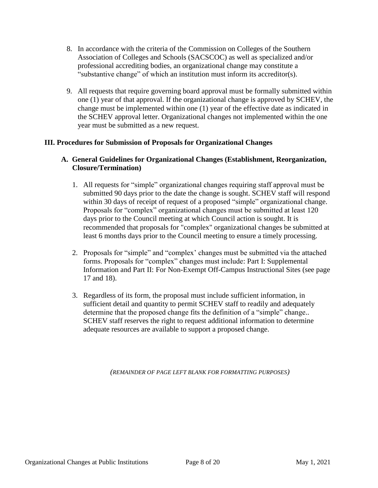- 8. In accordance with the criteria of the Commission on Colleges of the Southern Association of Colleges and Schools (SACSCOC) as well as specialized and/or professional accrediting bodies, an organizational change may constitute a "substantive change" of which an institution must inform its accreditor(s).
- 9. All requests that require governing board approval must be formally submitted within one (1) year of that approval. If the organizational change is approved by SCHEV, the change must be implemented within one (1) year of the effective date as indicated in the SCHEV approval letter. Organizational changes not implemented within the one year must be submitted as a new request.

## **III. Procedures for Submission of Proposals for Organizational Changes**

#### **A. General Guidelines for Organizational Changes (Establishment, Reorganization, Closure/Termination)**

- 1. All requests for "simple" organizational changes requiring staff approval must be submitted 90 days prior to the date the change is sought. SCHEV staff will respond within 30 days of receipt of request of a proposed "simple" organizational change. Proposals for "complex" organizational changes must be submitted at least 120 days prior to the Council meeting at which Council action is sought. It is recommended that proposals for "complex" organizational changes be submitted at least 6 months days prior to the Council meeting to ensure a timely processing.
- 2. Proposals for "simple" and "complex' changes must be submitted via the attached forms. Proposals for "complex" changes must include: Part I: Supplemental Information and Part II: For Non-Exempt Off-Campus Instructional Sites (see page 17 and 18).
- 3. Regardless of its form, the proposal must include sufficient information, in sufficient detail and quantity to permit SCHEV staff to readily and adequately determine that the proposed change fits the definition of a "simple" change.. SCHEV staff reserves the right to request additional information to determine adequate resources are available to support a proposed change.

*(REMAINDER OF PAGE LEFT BLANK FOR FORMATTING PURPOSES)*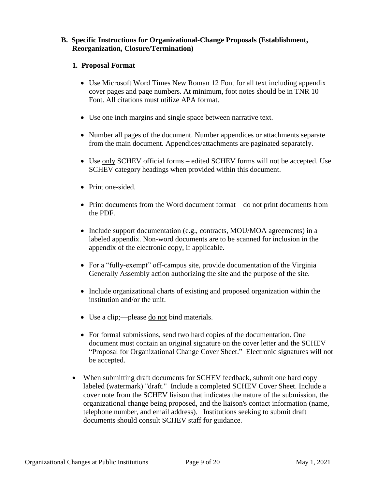#### **B. Specific Instructions for Organizational-Change Proposals (Establishment, Reorganization, Closure/Termination)**

#### **1. Proposal Format**

- Use Microsoft Word Times New Roman 12 Font for all text including appendix cover pages and page numbers. At minimum, foot notes should be in TNR 10 Font. All citations must utilize APA format.
- Use one inch margins and single space between narrative text.
- Number all pages of the document. Number appendices or attachments separate from the main document. Appendices/attachments are paginated separately.
- Use only SCHEV official forms edited SCHEV forms will not be accepted. Use SCHEV category headings when provided within this document.
- Print one-sided.
- Print documents from the Word document format—do not print documents from the PDF.
- Include support documentation (e.g., contracts, MOU/MOA agreements) in a labeled appendix. Non-word documents are to be scanned for inclusion in the appendix of the electronic copy, if applicable.
- For a "fully-exempt" off-campus site, provide documentation of the Virginia Generally Assembly action authorizing the site and the purpose of the site.
- Include organizational charts of existing and proposed organization within the institution and/or the unit.
- Use a clip;—please <u>do not</u> bind materials.
- For formal submissions, send two hard copies of the documentation. One document must contain an original signature on the cover letter and the SCHEV "Proposal for Organizational Change Cover Sheet." Electronic signatures will not be accepted.
- When submitting draft documents for SCHEV feedback, submit one hard copy labeled (watermark) "draft." Include a completed SCHEV Cover Sheet. Include a cover note from the SCHEV liaison that indicates the nature of the submission, the organizational change being proposed, and the liaison's contact information (name, telephone number, and email address). Institutions seeking to submit draft documents should consult SCHEV staff for guidance.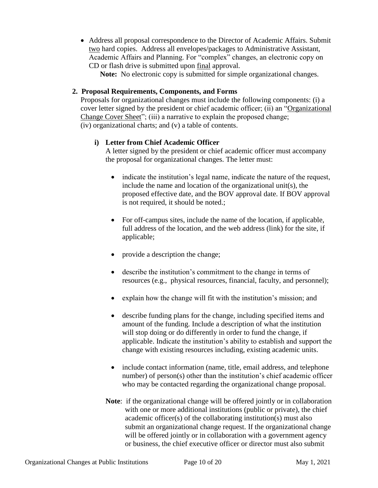Address all proposal correspondence to the Director of Academic Affairs. Submit two hard copies. Address all envelopes/packages to Administrative Assistant, Academic Affairs and Planning. For "complex" changes, an electronic copy on CD or flash drive is submitted upon final approval.

**Note:** No electronic copy is submitted for simple organizational changes.

# **2. Proposal Requirements, Components, and Forms**

Proposals for organizational changes must include the following components: (i) a cover letter signed by the president or chief academic officer; (ii) an "Organizational Change Cover Sheet"; (iii) a narrative to explain the proposed change; (iv) organizational charts; and (v) a table of contents.

# **i) Letter from Chief Academic Officer**

A letter signed by the president or chief academic officer must accompany the proposal for organizational changes. The letter must:

- indicate the institution's legal name, indicate the nature of the request, include the name and location of the organizational unit(s), the proposed effective date, and the BOV approval date. If BOV approval is not required, it should be noted.;
- For off-campus sites, include the name of the location, if applicable, full address of the location, and the web address (link) for the site, if applicable;
- provide a description the change;
- describe the institution's commitment to the change in terms of resources (e.g., physical resources, financial, faculty, and personnel);
- explain how the change will fit with the institution's mission; and
- describe funding plans for the change, including specified items and amount of the funding. Include a description of what the institution will stop doing or do differently in order to fund the change, if applicable. Indicate the institution's ability to establish and support the change with existing resources including, existing academic units.
- include contact information (name, title, email address, and telephone number) of person(s) other than the institution's chief academic officer who may be contacted regarding the organizational change proposal.
- **Note**: if the organizational change will be offered jointly or in collaboration with one or more additional institutions (public or private), the chief academic officer(s) of the collaborating institution(s) must also submit an organizational change request. If the organizational change will be offered jointly or in collaboration with a government agency or business, the chief executive officer or director must also submit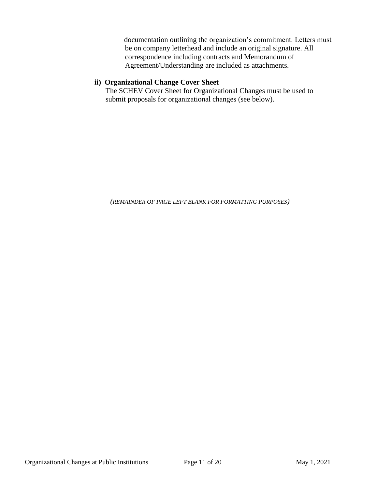documentation outlining the organization's commitment. Letters must be on company letterhead and include an original signature. All correspondence including contracts and Memorandum of Agreement/Understanding are included as attachments.

### **ii) Organizational Change Cover Sheet**

The SCHEV Cover Sheet for Organizational Changes must be used to submit proposals for organizational changes (see below).

*(REMAINDER OF PAGE LEFT BLANK FOR FORMATTING PURPOSES)*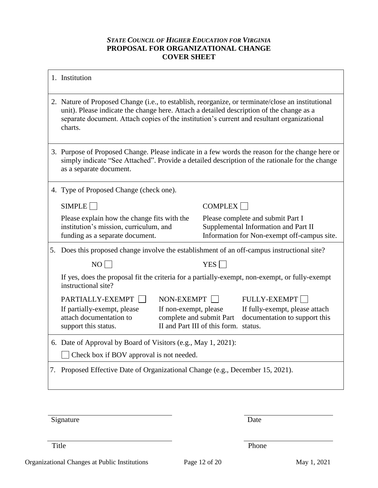### *STATE COUNCIL OF HIGHER EDUCATION FOR VIRGINIA* **PROPOSAL FOR ORGANIZATIONAL CHANGE COVER SHEET**

| 1. Institution                                                                                                                                                                                                                                                                                         |                                                                                                                                                               |                  |                                                                                                                          |
|--------------------------------------------------------------------------------------------------------------------------------------------------------------------------------------------------------------------------------------------------------------------------------------------------------|---------------------------------------------------------------------------------------------------------------------------------------------------------------|------------------|--------------------------------------------------------------------------------------------------------------------------|
| 2. Nature of Proposed Change (i.e., to establish, reorganize, or terminate/close an institutional<br>unit). Please indicate the change here. Attach a detailed description of the change as a<br>separate document. Attach copies of the institution's current and resultant organizational<br>charts. |                                                                                                                                                               |                  |                                                                                                                          |
| 3. Purpose of Proposed Change. Please indicate in a few words the reason for the change here or<br>simply indicate "See Attached". Provide a detailed description of the rationale for the change<br>as a separate document.                                                                           |                                                                                                                                                               |                  |                                                                                                                          |
| 4. Type of Proposed Change (check one).                                                                                                                                                                                                                                                                |                                                                                                                                                               |                  |                                                                                                                          |
| SIMPLE                                                                                                                                                                                                                                                                                                 |                                                                                                                                                               | COMPLEX          |                                                                                                                          |
| Please explain how the change fits with the<br>institution's mission, curriculum, and<br>funding as a separate document.                                                                                                                                                                               |                                                                                                                                                               |                  | Please complete and submit Part I<br>Supplemental Information and Part II<br>Information for Non-exempt off-campus site. |
| 5. Does this proposed change involve the establishment of an off-campus instructional site?                                                                                                                                                                                                            |                                                                                                                                                               |                  |                                                                                                                          |
| NO                                                                                                                                                                                                                                                                                                     |                                                                                                                                                               | YES <sup>[</sup> |                                                                                                                          |
| If yes, does the proposal fit the criteria for a partially-exempt, non-exempt, or fully-exempt<br>instructional site?                                                                                                                                                                                  |                                                                                                                                                               |                  |                                                                                                                          |
| PARTIALLY-EXEMPT                                                                                                                                                                                                                                                                                       | NON-EXEMPT $\Box$                                                                                                                                             |                  | <b>FULLY-EXEMPT</b>                                                                                                      |
| If partially-exempt, please<br>attach documentation to<br>support this status.                                                                                                                                                                                                                         | If fully-exempt, please attach<br>If non-exempt, please<br>complete and submit Part<br>documentation to support this<br>II and Part III of this form. status. |                  |                                                                                                                          |
| 6. Date of Approval by Board of Visitors (e.g., May 1, 2021):                                                                                                                                                                                                                                          |                                                                                                                                                               |                  |                                                                                                                          |
| Check box if BOV approval is not needed.                                                                                                                                                                                                                                                               |                                                                                                                                                               |                  |                                                                                                                          |
| 7. Proposed Effective Date of Organizational Change (e.g., December 15, 2021).                                                                                                                                                                                                                         |                                                                                                                                                               |                  |                                                                                                                          |

Signature Date

Title Phone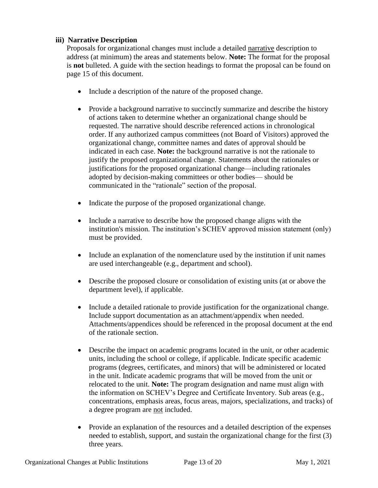## **iii) Narrative Description**

Proposals for organizational changes must include a detailed narrative description to address (at minimum) the areas and statements below. **Note:** The format for the proposal is **not** bulleted. A guide with the section headings to format the proposal can be found on page 15 of this document.

- Include a description of the nature of the proposed change.
- Provide a background narrative to succinctly summarize and describe the history of actions taken to determine whether an organizational change should be requested. The narrative should describe referenced actions in chronological order. If any authorized campus committees (not Board of Visitors) approved the organizational change, committee names and dates of approval should be indicated in each case. **Note:** the background narrative is not the rationale to justify the proposed organizational change. Statements about the rationales or justifications for the proposed organizational change—including rationales adopted by decision-making committees or other bodies— should be communicated in the "rationale" section of the proposal.
- Indicate the purpose of the proposed organizational change.
- Include a narrative to describe how the proposed change aligns with the institution's mission. The institution's SCHEV approved mission statement (only) must be provided.
- Include an explanation of the nomenclature used by the institution if unit names are used interchangeable (e.g., department and school).
- Describe the proposed closure or consolidation of existing units (at or above the department level), if applicable.
- Include a detailed rationale to provide justification for the organizational change. Include support documentation as an attachment/appendix when needed. Attachments/appendices should be referenced in the proposal document at the end of the rationale section.
- Describe the impact on academic programs located in the unit, or other academic units, including the school or college, if applicable. Indicate specific academic programs (degrees, certificates, and minors) that will be administered or located in the unit. Indicate academic programs that will be moved from the unit or relocated to the unit. **Note:** The program designation and name must align with the information on SCHEV's Degree and Certificate Inventory. Sub areas (e.g., concentrations, emphasis areas, focus areas, majors, specializations, and tracks) of a degree program are not included.
- Provide an explanation of the resources and a detailed description of the expenses needed to establish, support, and sustain the organizational change for the first (3) three years.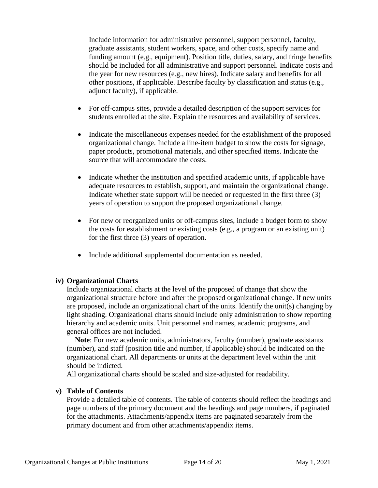Include information for administrative personnel, support personnel, faculty, graduate assistants, student workers, space, and other costs, specify name and funding amount (e.g., equipment). Position title, duties, salary, and fringe benefits should be included for all administrative and support personnel. Indicate costs and the year for new resources (e.g., new hires). Indicate salary and benefits for all other positions, if applicable. Describe faculty by classification and status (e.g., adjunct faculty), if applicable.

- For off-campus sites, provide a detailed description of the support services for students enrolled at the site. Explain the resources and availability of services.
- Indicate the miscellaneous expenses needed for the establishment of the proposed organizational change. Include a line-item budget to show the costs for signage, paper products, promotional materials, and other specified items. Indicate the source that will accommodate the costs.
- Indicate whether the institution and specified academic units, if applicable have adequate resources to establish, support, and maintain the organizational change. Indicate whether state support will be needed or requested in the first three (3) years of operation to support the proposed organizational change.
- For new or reorganized units or off-campus sites, include a budget form to show the costs for establishment or existing costs (e.g., a program or an existing unit) for the first three (3) years of operation.
- Include additional supplemental documentation as needed.

#### **iv) Organizational Charts**

Include organizational charts at the level of the proposed of change that show the organizational structure before and after the proposed organizational change. If new units are proposed, include an organizational chart of the units. Identify the unit(s) changing by light shading. Organizational charts should include only administration to show reporting hierarchy and academic units. Unit personnel and names, academic programs, and general offices are not included.

**Note**: For new academic units, administrators, faculty (number), graduate assistants (number), and staff (position title and number, if applicable) should be indicated on the organizational chart. All departments or units at the department level within the unit should be indicted.

All organizational charts should be scaled and size-adjusted for readability.

#### **v) Table of Contents**

Provide a detailed table of contents. The table of contents should reflect the headings and page numbers of the primary document and the headings and page numbers, if paginated for the attachments. Attachments/appendix items are paginated separately from the primary document and from other attachments/appendix items.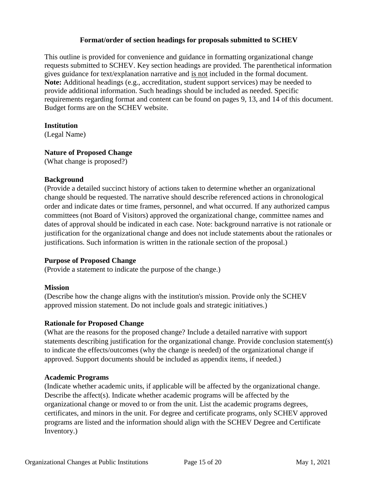#### **Format/order of section headings for proposals submitted to SCHEV**

This outline is provided for convenience and guidance in formatting organizational change requests submitted to SCHEV. Key section headings are provided. The parenthetical information gives guidance for text/explanation narrative and is not included in the formal document. **Note:** Additional headings (e.g., accreditation, student support services) may be needed to provide additional information. Such headings should be included as needed. Specific requirements regarding format and content can be found on pages 9, 13, and 14 of this document. Budget forms are on the SCHEV website.

#### **Institution**

(Legal Name)

## **Nature of Proposed Change**

(What change is proposed?)

#### **Background**

(Provide a detailed succinct history of actions taken to determine whether an organizational change should be requested. The narrative should describe referenced actions in chronological order and indicate dates or time frames, personnel, and what occurred. If any authorized campus committees (not Board of Visitors) approved the organizational change, committee names and dates of approval should be indicated in each case. Note: background narrative is not rationale or justification for the organizational change and does not include statements about the rationales or justifications. Such information is written in the rationale section of the proposal.)

#### **Purpose of Proposed Change**

(Provide a statement to indicate the purpose of the change.)

## **Mission**

(Describe how the change aligns with the institution's mission. Provide only the SCHEV approved mission statement. Do not include goals and strategic initiatives.)

## **Rationale for Proposed Change**

(What are the reasons for the proposed change? Include a detailed narrative with support statements describing justification for the organizational change. Provide conclusion statement(s) to indicate the effects/outcomes (why the change is needed) of the organizational change if approved. Support documents should be included as appendix items, if needed.)

## **Academic Programs**

(Indicate whether academic units, if applicable will be affected by the organizational change. Describe the affect(s). Indicate whether academic programs will be affected by the organizational change or moved to or from the unit. List the academic programs degrees, certificates, and minors in the unit. For degree and certificate programs, only SCHEV approved programs are listed and the information should align with the SCHEV Degree and Certificate Inventory.)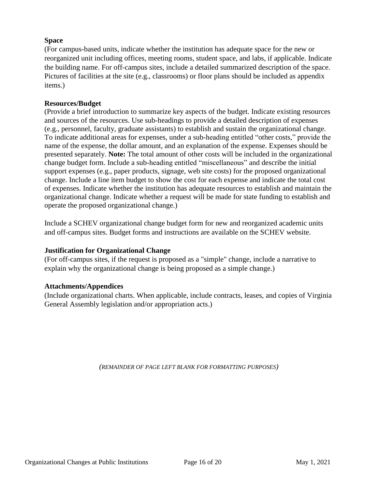## **Space**

(For campus-based units, indicate whether the institution has adequate space for the new or reorganized unit including offices, meeting rooms, student space, and labs, if applicable. Indicate the building name. For off-campus sites, include a detailed summarized description of the space. Pictures of facilities at the site (e.g., classrooms) or floor plans should be included as appendix items.)

## **Resources/Budget**

(Provide a brief introduction to summarize key aspects of the budget. Indicate existing resources and sources of the resources. Use sub-headings to provide a detailed description of expenses (e.g., personnel, faculty, graduate assistants) to establish and sustain the organizational change. To indicate additional areas for expenses, under a sub-heading entitled "other costs," provide the name of the expense, the dollar amount, and an explanation of the expense. Expenses should be presented separately. **Note:** The total amount of other costs will be included in the organizational change budget form. Include a sub-heading entitled "miscellaneous" and describe the initial support expenses (e.g., paper products, signage, web site costs) for the proposed organizational change. Include a line item budget to show the cost for each expense and indicate the total cost of expenses. Indicate whether the institution has adequate resources to establish and maintain the organizational change. Indicate whether a request will be made for state funding to establish and operate the proposed organizational change.)

Include a SCHEV organizational change budget form for new and reorganized academic units and off-campus sites. Budget forms and instructions are available on the SCHEV website.

# **Justification for Organizational Change**

(For off-campus sites, if the request is proposed as a "simple" change, include a narrative to explain why the organizational change is being proposed as a simple change.)

## **Attachments/Appendices**

(Include organizational charts. When applicable, include contracts, leases, and copies of Virginia General Assembly legislation and/or appropriation acts.)

*(REMAINDER OF PAGE LEFT BLANK FOR FORMATTING PURPOSES)*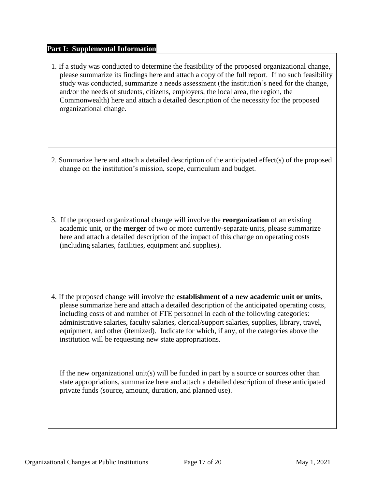#### **Part I: Supplemental Information**

- 1. If a study was conducted to determine the feasibility of the proposed organizational change, please summarize its findings here and attach a copy of the full report. If no such feasibility study was conducted, summarize a needs assessment (the institution's need for the change, and/or the needs of students, citizens, employers, the local area, the region, the Commonwealth) here and attach a detailed description of the necessity for the proposed organizational change.
- 2. Summarize here and attach a detailed description of the anticipated effect(s) of the proposed change on the institution's mission, scope, curriculum and budget.
- 3. If the proposed organizational change will involve the **reorganization** of an existing academic unit, or the **merger** of two or more currently-separate units, please summarize here and attach a detailed description of the impact of this change on operating costs (including salaries, facilities, equipment and supplies).
- 4. If the proposed change will involve the **establishment of a new academic unit or units**, please summarize here and attach a detailed description of the anticipated operating costs, including costs of and number of FTE personnel in each of the following categories: administrative salaries, faculty salaries, clerical/support salaries, supplies, library, travel, equipment, and other (itemized). Indicate for which, if any, of the categories above the institution will be requesting new state appropriations.

If the new organizational unit(s) will be funded in part by a source or sources other than state appropriations, summarize here and attach a detailed description of these anticipated private funds (source, amount, duration, and planned use).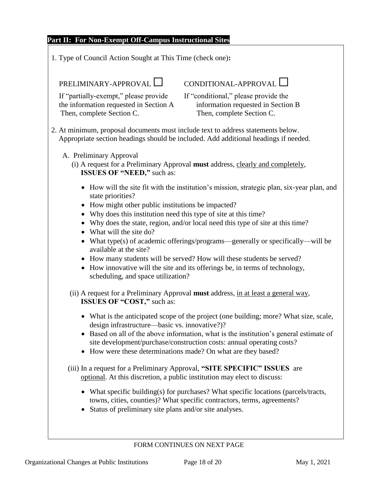#### **Part II: For Non-Exempt Off-Campus Instructional Sites**

1. Type of Council Action Sought at This Time (check one)**:**

If "partially-exempt," please provide If "conditional," please provide the the information requested in Section A information requested in Section B Then, complete Section C. Then, complete Section C.

# PRELIMINARY-APPROVAL ◯ CONDITIONAL-APPROVAL ◯

2. At minimum, proposal documents must include text to address statements below. Appropriate section headings should be included. Add additional headings if needed.

#### A. Preliminary Approval

- (i) A request for a Preliminary Approval **must** address, clearly and completely,  **ISSUES OF "NEED,"** such as:
	- How will the site fit with the institution's mission, strategic plan, six-year plan, and state priorities?
	- How might other public institutions be impacted?
	- Why does this institution need this type of site at this time?
	- Why does the state, region, and/or local need this type of site at this time?
	- What will the site do?
	- What type(s) of academic offerings/programs—generally or specifically—will be available at the site?
	- How many students will be served? How will these students be served?
	- How innovative will the site and its offerings be, in terms of technology, scheduling, and space utilization?
- (ii) A request for a Preliminary Approval **must** address, in at least a general way,  **ISSUES OF "COST,"** such as:
	- What is the anticipated scope of the project (one building; more? What size, scale, design infrastructure—basic vs. innovative?)?
	- Based on all of the above information, what is the institution's general estimate of site development/purchase/construction costs: annual operating costs?
	- How were these determinations made? On what are they based?
- (iii) In a request for a Preliminary Approval, **"SITE SPECIFIC" ISSUES** are optional. At this discretion, a public institution may elect to discuss:
	- What specific building(s) for purchases? What specific locations (parcels/tracts, towns, cities, counties)? What specific contractors, terms, agreements?
	- Status of preliminary site plans and/or site analyses.

## FORM CONTINUES ON NEXT PAGE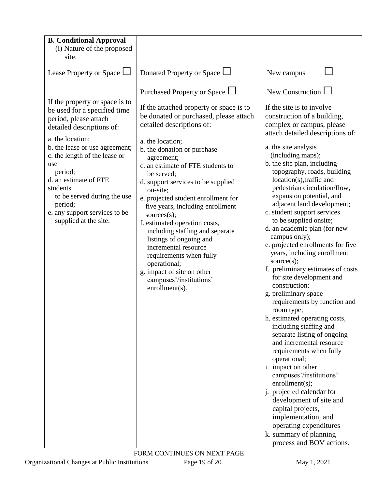| <b>B. Conditional Approval</b>                                                                                                                                                                                             |                                                                                                                                                                                                                                                                                                                                                                                                                                                                                                           |                                                                                                                                                                                                                                                                                                                                                                                                                                                                                                                                                                                                                                                                                                                                                                                                                                                                                                                                                                                                          |
|----------------------------------------------------------------------------------------------------------------------------------------------------------------------------------------------------------------------------|-----------------------------------------------------------------------------------------------------------------------------------------------------------------------------------------------------------------------------------------------------------------------------------------------------------------------------------------------------------------------------------------------------------------------------------------------------------------------------------------------------------|----------------------------------------------------------------------------------------------------------------------------------------------------------------------------------------------------------------------------------------------------------------------------------------------------------------------------------------------------------------------------------------------------------------------------------------------------------------------------------------------------------------------------------------------------------------------------------------------------------------------------------------------------------------------------------------------------------------------------------------------------------------------------------------------------------------------------------------------------------------------------------------------------------------------------------------------------------------------------------------------------------|
| (i) Nature of the proposed<br>site.                                                                                                                                                                                        |                                                                                                                                                                                                                                                                                                                                                                                                                                                                                                           |                                                                                                                                                                                                                                                                                                                                                                                                                                                                                                                                                                                                                                                                                                                                                                                                                                                                                                                                                                                                          |
| Lease Property or Space L                                                                                                                                                                                                  | Donated Property or Space $\Box$                                                                                                                                                                                                                                                                                                                                                                                                                                                                          | New campus                                                                                                                                                                                                                                                                                                                                                                                                                                                                                                                                                                                                                                                                                                                                                                                                                                                                                                                                                                                               |
|                                                                                                                                                                                                                            | Purchased Property or Space $\Box$                                                                                                                                                                                                                                                                                                                                                                                                                                                                        | New Construction $\Box$                                                                                                                                                                                                                                                                                                                                                                                                                                                                                                                                                                                                                                                                                                                                                                                                                                                                                                                                                                                  |
| If the property or space is to<br>be used for a specified time<br>period, please attach<br>detailed descriptions of:<br>a. the location;                                                                                   | If the attached property or space is to<br>be donated or purchased, please attach<br>detailed descriptions of:                                                                                                                                                                                                                                                                                                                                                                                            | If the site is to involve<br>construction of a building,<br>complex or campus, please<br>attach detailed descriptions of:                                                                                                                                                                                                                                                                                                                                                                                                                                                                                                                                                                                                                                                                                                                                                                                                                                                                                |
| b. the lease or use agreement;<br>c. the length of the lease or<br>use<br>period;<br>d. an estimate of FTE<br>students<br>to be served during the use<br>period;<br>e. any support services to be<br>supplied at the site. | a. the location;<br>b. the donation or purchase<br>agreement;<br>c. an estimate of FTE students to<br>be served;<br>d. support services to be supplied<br>on-site;<br>e. projected student enrollment for<br>five years, including enrollment<br>sources(s);<br>f. estimated operation costs,<br>including staffing and separate<br>listings of ongoing and<br>incremental resource<br>requirements when fully<br>operational;<br>g. impact of site on other<br>campuses'/institutions'<br>enrollment(s). | a. the site analysis<br>(including maps);<br>b. the site plan, including<br>topography, roads, building<br>location(s),traffic and<br>pedestrian circulation/flow,<br>expansion potential, and<br>adjacent land development;<br>c. student support services<br>to be supplied onsite;<br>d. an academic plan (for new<br>campus only);<br>e. projected enrollments for five<br>years, including enrollment<br>source(s);<br>f. preliminary estimates of costs<br>for site development and<br>construction;<br>g. preliminary space<br>requirements by function and<br>room type;<br>h. estimated operating costs,<br>including staffing and<br>separate listing of ongoing<br>and incremental resource<br>requirements when fully<br>operational;<br>i. impact on other<br>campuses'/institutions'<br>enrollment(s);<br>j. projected calendar for<br>development of site and<br>capital projects,<br>implementation, and<br>operating expenditures<br>k. summary of planning<br>process and BOV actions. |